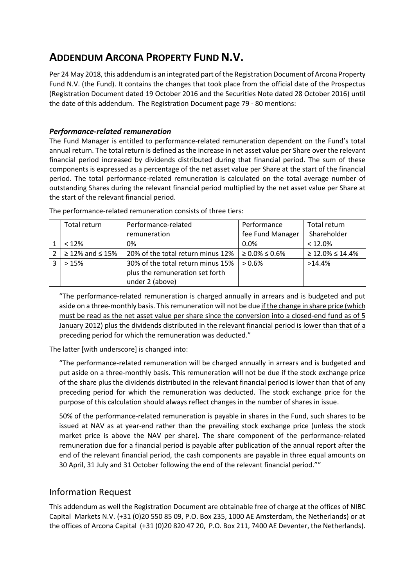## **ADDENDUM ARCONA PROPERTY FUND N.V.**

Per 24 May 2018, this addendum is an integrated part of the Registration Document of Arcona Property Fund N.V. (the Fund). It contains the changes that took place from the official date of the Prospectus (Registration Document dated 19 October 2016 and the Securities Note dated 28 October 2016) until the date of this addendum. The Registration Document page 79 - 80 mentions:

## *Performance-related remuneration*

The Fund Manager is entitled to performance-related remuneration dependent on the Fund's total annual return. The total return is defined as the increase in net asset value per Share over the relevant financial period increased by dividends distributed during that financial period. The sum of these components is expressed as a percentage of the net asset value per Share at the start of the financial period. The total performance-related remuneration is calculated on the total average number of outstanding Shares during the relevant financial period multiplied by the net asset value per Share at the start of the relevant financial period.

| Total return              | Performance-related               | Performance             | Total return              |
|---------------------------|-----------------------------------|-------------------------|---------------------------|
|                           | remuneration                      | fee Fund Manager        | Shareholder               |
| < 12%                     | 0%                                | $0.0\%$                 | < 12.0%                   |
| $\geq$ 12% and $\leq$ 15% | 20% of the total return minus 12% | $\geq 0.0\% \leq 0.6\%$ | $\geq 12.0\% \leq 14.4\%$ |
| >15%                      | 30% of the total return minus 15% | $> 0.6\%$               | $>14.4\%$                 |
|                           | plus the remuneration set forth   |                         |                           |
|                           | under 2 (above)                   |                         |                           |

The performance-related remuneration consists of three tiers:

"The performance-related remuneration is charged annually in arrears and is budgeted and put aside on a three-monthly basis. This remuneration will not be due if the change in share price (which must be read as the net asset value per share since the conversion into a closed-end fund as of 5 January 2012) plus the dividends distributed in the relevant financial period is lower than that of a preceding period for which the remuneration was deducted."

The latter [with underscore] is changed into:

"The performance-related remuneration will be charged annually in arrears and is budgeted and put aside on a three-monthly basis. This remuneration will not be due if the stock exchange price of the share plus the dividends distributed in the relevant financial period is lower than that of any preceding period for which the remuneration was deducted. The stock exchange price for the purpose of this calculation should always reflect changes in the number of shares in issue.

50% of the performance-related remuneration is payable in shares in the Fund, such shares to be issued at NAV as at year-end rather than the prevailing stock exchange price (unless the stock market price is above the NAV per share). The share component of the performance-related remuneration due for a financial period is payable after publication of the annual report after the end of the relevant financial period, the cash components are payable in three equal amounts on 30 April, 31 July and 31 October following the end of the relevant financial period.""

## Information Request

This addendum as well the Registration Document are obtainable free of charge at the offices of NIBC Capital Markets N.V. (+31 (0)20 550 85 09, P.O. Box 235, 1000 AE Amsterdam, the Netherlands) or at the offices of Arcona Capital (+31 (0)20 820 47 20, P.O. Box 211, 7400 AE Deventer, the Netherlands).